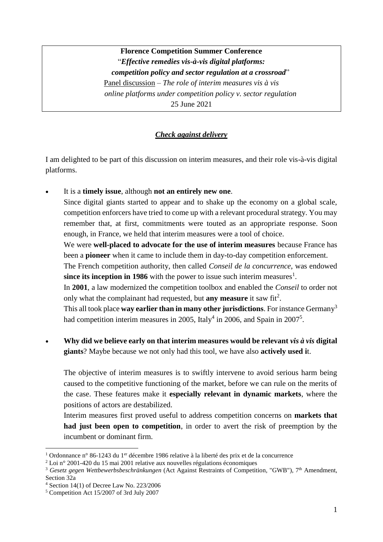## **Florence Competition Summer Conference** "*Effective remedies vis-à-vis digital platforms: competition policy and sector regulation at a crossroad*" Panel discussion – *The role of interim measures vis à vis online platforms under competition policy v. sector regulation* 25 June 2021

## *Check against delivery*

I am delighted to be part of this discussion on interim measures, and their role vis-à-vis digital platforms.

- It is a **timely issue**, although **not an entirely new one**. Since digital giants started to appear and to shake up the economy on a global scale, competition enforcers have tried to come up with a relevant procedural strategy. You may remember that, at first, commitments were touted as an appropriate response. Soon enough, in France, we held that interim measures were a tool of choice. We were **well-placed to advocate for the use of interim measures** because France has been a **pioneer** when it came to include them in day-to-day competition enforcement. The French competition authority, then called *Conseil de la concurrence*, was endowed since its inception in 1986 with the power to issue such interim measures<sup>1</sup>. In **2001**, a law modernized the competition toolbox and enabled the *Conseil* to order not only what the complainant had requested, but **any measure** it saw fit<sup>2</sup>. This all took place **way earlier than in many other jurisdictions**. For instance Germany<sup>3</sup> had competition interim measures in 2005, Italy<sup>4</sup> in 2006, and Spain in 2007<sup>5</sup>.
- **Why did we believe early on that interim measures would be relevant** *vis à vis* **digital giants**? Maybe because we not only had this tool, we have also **actively used i**t.

The objective of interim measures is to swiftly intervene to avoid serious harm being caused to the competitive functioning of the market, before we can rule on the merits of the case. These features make it **especially relevant in dynamic markets**, where the positions of actors are destabilized.

Interim measures first proved useful to address competition concerns on **markets that had just been open to competition**, in order to avert the risk of preemption by the incumbent or dominant firm.

<u>.</u>

<sup>&</sup>lt;sup>1</sup> Ordonnance n° 86-1243 du 1<sup>er</sup> décembre 1986 relative à la liberté des prix et de la concurrence

<sup>2</sup> Loi n° 2001-420 du 15 mai 2001 relative aux nouvelles régulations économiques

<sup>&</sup>lt;sup>3</sup> Gesetz gegen Wettbewerbsbeschränkungen (Act Against Restraints of Competition, "GWB"), 7<sup>th</sup> Amendment, Section 32a

<sup>4</sup> Section 14(1) of Decree Law No. 223/2006

<sup>5</sup> Competition Act 15/2007 of 3rd July 2007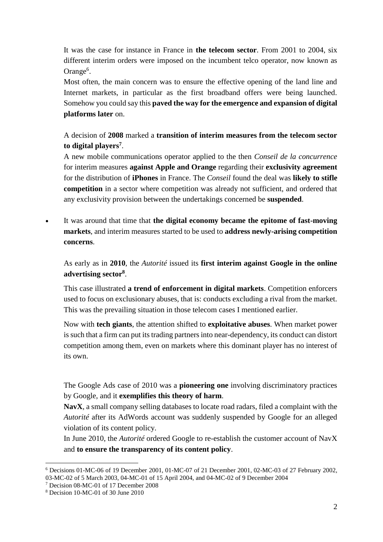It was the case for instance in France in **the telecom sector**. From 2001 to 2004, six different interim orders were imposed on the incumbent telco operator, now known as Orange<sup>6</sup>.

Most often, the main concern was to ensure the effective opening of the land line and Internet markets, in particular as the first broadband offers were being launched. Somehow you could say this **paved the way for the emergence and expansion of digital platforms later** on.

A decision of **2008** marked a **transition of interim measures from the telecom sector to digital players<sup>7</sup>** .

A new mobile communications operator applied to the then *Conseil de la concurrence* for interim measures **against Apple and Orange** regarding their **exclusivity agreement** for the distribution of **iPhones** in France. The *Conseil* found the deal was **likely to stifle competition** in a sector where competition was already not sufficient, and ordered that any exclusivity provision between the undertakings concerned be **suspended**.

 It was around that time that **the digital economy became the epitome of fast-moving markets**, and interim measures started to be used to **address newly-arising competition concerns**.

As early as in **2010**, the *Autorité* issued its **first interim against Google in the online advertising sector<sup>8</sup>** .

This case illustrated **a trend of enforcement in digital markets**. Competition enforcers used to focus on exclusionary abuses, that is: conducts excluding a rival from the market. This was the prevailing situation in those telecom cases I mentioned earlier.

Now with **tech giants**, the attention shifted to **exploitative abuses**. When market power is such that a firm can put its trading partners into near-dependency, its conduct can distort competition among them, even on markets where this dominant player has no interest of its own.

The Google Ads case of 2010 was a **pioneering one** involving discriminatory practices by Google, and it **exemplifies this theory of harm**.

**NavX**, a small company selling databases to locate road radars, filed a complaint with the *Autorité* after its AdWords account was suddenly suspended by Google for an alleged violation of its content policy.

In June 2010, the *Autorité* ordered Google to re-establish the customer account of NavX and **to ensure the transparency of its content policy**.

1

<sup>6</sup> Decisions 01-MC-06 of 19 December 2001, 01-MC-07 of 21 December 2001, 02-MC-03 of 27 February 2002, 03-MC-02 of 5 March 2003, 04-MC-01 of 15 April 2004, and 04-MC-02 of 9 December 2004

<sup>7</sup> Decision 08-MC-01 of 17 December 2008

<sup>8</sup> Decision 10-MC-01 of 30 June 2010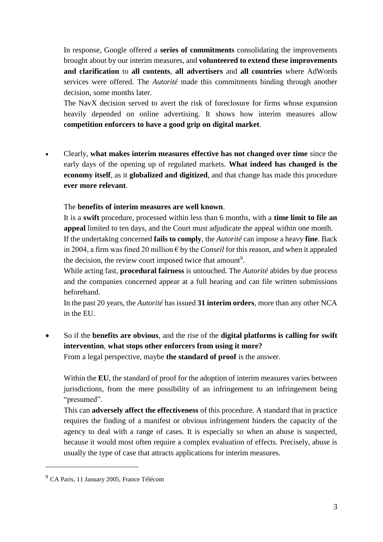In response, Google offered a **series of commitments** consolidating the improvements brought about by our interim measures, and **volunteered to extend these improvements and clarification** to **all contents**, **all advertisers** and **all countries** where AdWords services were offered. The *Autorité* made this commitments binding through another decision, some months later.

The NavX decision served to avert the risk of foreclosure for firms whose expansion heavily depended on online advertising. It shows how interim measures allow **competition enforcers to have a good grip on digital market**.

 Clearly, **what makes interim measures effective has not changed over time** since the early days of the opening up of regulated markets. **What indeed has changed is the economy itself**, as it **globalized and digitized**, and that change has made this procedure **ever more relevant**.

## The **benefits of interim measures are well known**.

It is a **swift** procedure, processed within less than 6 months, with a **time limit to file an appeal** limited to ten days, and the Court must adjudicate the appeal within one month. If the undertaking concerned **fails to comply**, the *Autorité* can impose a heavy **fine**. Back in 2004, a firm was fined 20 million  $\epsilon$  by the *Conseil* for this reason, and when it appealed the decision, the review court imposed twice that amount<sup>9</sup>.

While acting fast, **procedural fairness** is untouched. The *Autorité* abides by due process and the companies concerned appear at a full hearing and can file written submissions beforehand.

In the past 20 years, the *Autorité* has issued **31 interim orders**, more than any other NCA in the EU.

 So if the **benefits are obvious**, and the rise of the **digital platforms is calling for swift intervention**, **what stops other enforcers from using it more?**

From a legal perspective, maybe **the standard of proof** is the answer.

Within the **EU**, the standard of proof for the adoption of interim measures varies between jurisdictions, from the mere possibility of an infringement to an infringement being "presumed".

This can **adversely affect the effectiveness** of this procedure. A standard that in practice requires the finding of a manifest or obvious infringement hinders the capacity of the agency to deal with a range of cases. It is especially so when an abuse is suspected, because it would most often require a complex evaluation of effects. Precisely, abuse is usually the type of case that attracts applications for interim measures.

1

<sup>9</sup> CA Paris, 11 January 2005, France Télécom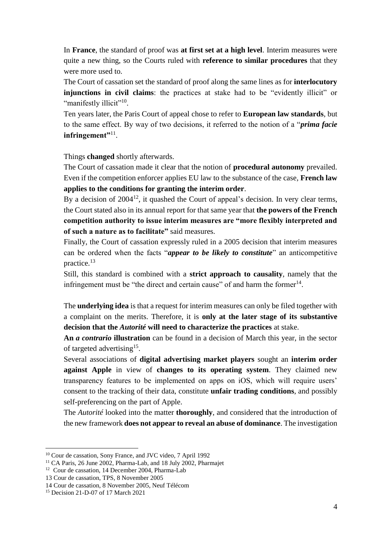In **France**, the standard of proof was **at first set at a high level**. Interim measures were quite a new thing, so the Courts ruled with **reference to similar procedures** that they were more used to.

The Court of cassation set the standard of proof along the same lines as for **interlocutory injunctions in civil claims**: the practices at stake had to be "evidently illicit" or "manifestly illicit"<sup>10</sup>.

Ten years later, the Paris Court of appeal chose to refer to **European law standards**, but to the same effect. By way of two decisions, it referred to the notion of a "*prima facie* **infringement"**<sup>11</sup> .

Things **changed** shortly afterwards.

The Court of cassation made it clear that the notion of **procedural autonomy** prevailed. Even if the competition enforcer applies EU law to the substance of the case, **French law applies to the conditions for granting the interim order**.

By a decision of  $2004^{12}$ , it quashed the Court of appeal's decision. In very clear terms, the Court stated also in its annual report for that same year that **the powers of the French competition authority to issue interim measures are "more flexibly interpreted and of such a nature as to facilitate"** said measures.

Finally, the Court of cassation expressly ruled in a 2005 decision that interim measures can be ordered when the facts "*appear to be likely to constitute*" an anticompetitive practice.<sup>13</sup>

Still, this standard is combined with a **strict approach to causality**, namely that the infringement must be "the direct and certain cause" of and harm the former $14$ .

The **underlying idea** is that a request for interim measures can only be filed together with a complaint on the merits. Therefore, it is **only at the later stage of its substantive decision that the** *Autorité* **will need to characterize the practices** at stake.

**An** *a contrario* **illustration** can be found in a decision of March this year, in the sector of targeted advertising<sup>15</sup>.

Several associations of **digital advertising market players** sought an **interim order against Apple** in view of **changes to its operating system**. They claimed new transparency features to be implemented on apps on iOS, which will require users' consent to the tracking of their data, constitute **unfair trading conditions**, and possibly self-preferencing on the part of Apple.

The *Autorité* looked into the matter **thoroughly**, and considered that the introduction of the new framework **does not appear to reveal an abuse of dominance**. The investigation

<u>.</u>

<sup>&</sup>lt;sup>10</sup> Cour de cassation, Sony France, and JVC video, 7 April 1992

 $11$  CA Paris, 26 June 2002, Pharma-Lab, and 18 July 2002, Pharmajet

<sup>12</sup> Cour de cassation, 14 December 2004, Pharma-Lab

<sup>13</sup> Cour de cassation, TPS, 8 November 2005

<sup>14</sup> Cour de cassation, 8 November 2005, Neuf Télécom

<sup>15</sup> Decision 21-D-07 of 17 March 2021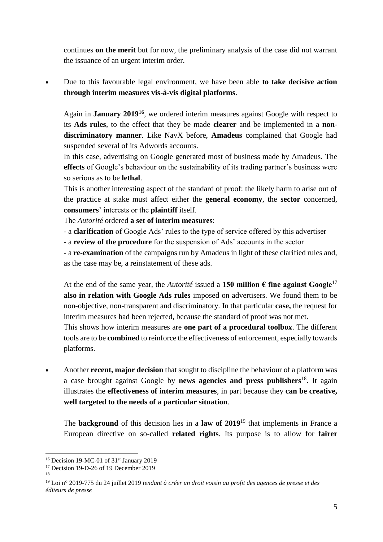continues **on the merit** but for now, the preliminary analysis of the case did not warrant the issuance of an urgent interim order.

 Due to this favourable legal environment, we have been able **to take decisive action through interim measures vis-à-vis digital platforms**.

Again in **January 2019<sup>16</sup>**, we ordered interim measures against Google with respect to its **Ads rules**, to the effect that they be made **clearer** and be implemented in a **nondiscriminatory manner**. Like NavX before, **Amadeus** complained that Google had suspended several of its Adwords accounts.

In this case, advertising on Google generated most of business made by Amadeus. The **effects** of Google's behaviour on the sustainability of its trading partner's business were so serious as to be **lethal**.

This is another interesting aspect of the standard of proof: the likely harm to arise out of the practice at stake must affect either the **general economy**, the **sector** concerned, **consumers**' interests or the **plaintiff** itself.

The *Autorité* ordered **a set of interim measures**:

- a **clarification** of Google Ads' rules to the type of service offered by this advertiser

- a **review of the procedure** for the suspension of Ads' accounts in the sector

- a **re-examination** of the campaigns run by Amadeus in light of these clarified rules and, as the case may be, a reinstatement of these ads.

At the end of the same year, the *Autorité* issued a **150 million**  $\epsilon$  **fine against Google**<sup>17</sup> **also in relation with Google Ads rules** imposed on advertisers. We found them to be non-objective, non-transparent and discriminatory. In that particular **case,** the request for interim measures had been rejected, because the standard of proof was not met.

This shows how interim measures are **one part of a procedural toolbox**. The different tools are to be **combined** to reinforce the effectiveness of enforcement, especially towards platforms.

 Another **recent, major decision** that sought to discipline the behaviour of a platform was a case brought against Google by **news agencies and press publishers**<sup>18</sup>. It again illustrates the **effectiveness of interim measures**, in part because they **can be creative, well targeted to the needs of a particular situation**.

The **background** of this decision lies in a **law of 2019**<sup>19</sup> that implements in France a European directive on so-called **related rights**. Its purpose is to allow for **fairer** 

<sup>&</sup>lt;u>.</u> <sup>16</sup> Decision 19-MC-01 of 31<sup>st</sup> January 2019

<sup>&</sup>lt;sup>17</sup> Decision 19-D-26 of 19 December 2019

<sup>18</sup>

<sup>19</sup> Loi n° 2019-775 du 24 juillet 2019 *tendant à créer un droit voisin au profit des agences de presse et des éditeurs de presse*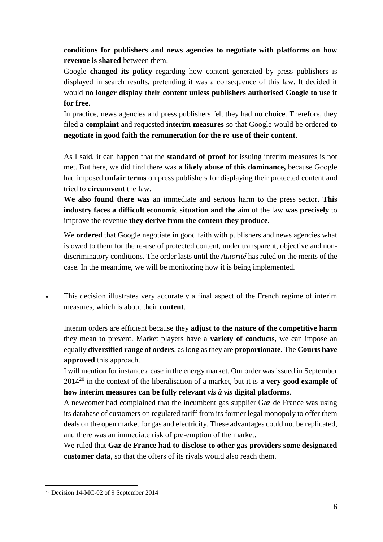**conditions for publishers and news agencies to negotiate with platforms on how revenue is shared** between them.

Google **changed its policy** regarding how content generated by press publishers is displayed in search results, pretending it was a consequence of this law. It decided it would **no longer display their content unless publishers authorised Google to use it for free**.

In practice, news agencies and press publishers felt they had **no choice**. Therefore, they filed a **complaint** and requested **interim measures** so that Google would be ordered **to negotiate in good faith the remuneration for the re-use of their content**.

As I said, it can happen that the **standard of proof** for issuing interim measures is not met. But here, we did find there was **a likely abuse of this dominance,** because Google had imposed **unfair terms** on press publishers for displaying their protected content and tried to **circumvent** the law.

**We also found there was** an immediate and serious harm to the press sector**. This industry faces a difficult economic situation and the** aim of the law **was precisely** to improve the revenue **they derive from the content they produce**.

We **ordered** that Google negotiate in good faith with publishers and news agencies what is owed to them for the re-use of protected content, under transparent, objective and nondiscriminatory conditions. The order lasts until the *Autorité* has ruled on the merits of the case. In the meantime, we will be monitoring how it is being implemented.

 This decision illustrates very accurately a final aspect of the French regime of interim measures, which is about their **content**.

Interim orders are efficient because they **adjust to the nature of the competitive harm** they mean to prevent. Market players have a **variety of conducts**, we can impose an equally **diversified range of orders**, as long as they are **proportionate**. The **Courts have approved** this approach.

I will mention for instance a case in the energy market. Our order was issued in September 2014<sup>20</sup> in the context of the liberalisation of a market, but it is **a very good example of how interim measures can be fully relevant** *vis à vis* **digital platforms**.

A newcomer had complained that the incumbent gas supplier Gaz de France was using its database of customers on regulated tariff from its former legal monopoly to offer them deals on the open market for gas and electricity. These advantages could not be replicated, and there was an immediate risk of pre-emption of the market.

We ruled that **Gaz de France had to disclose to other gas providers some designated customer data**, so that the offers of its rivals would also reach them.

1

<sup>20</sup> Decision 14-MC-02 of 9 September 2014